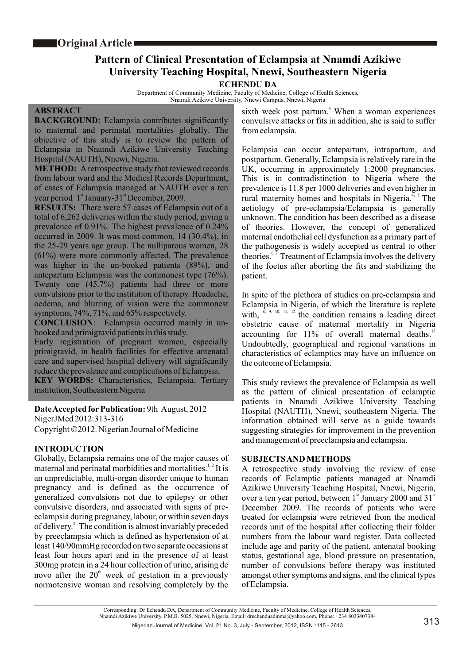# **Pattern of Clinical Presentation of Eclampsia at Nnamdi Azikiwe University Teaching Hospital, Nnewi, Southeastern Nigeria**

## **ECHENDU DA**

Department of Community Medicine, Faculty of Medicine, College of Health Sciences, Nnamdi Azikiwe University, Nnewi Campus, Nnewi, Nigeria

#### **ABSTRACT**

**BACKGROUND:** Eclampsia contributes significantly to maternal and perinatal mortalities globally. The objective of this study is to review the pattern of Eclampsia in Nnamdi Azikiwe University Teaching Hospital (NAUTH), Nnewi, Nigeria.

**METHOD:** A retrospective study that reviewed records from labour ward and the Medical Records Department, of cases of Eclampsia managed at NAUTH over a ten year period 1<sup>st</sup> January-31<sup>st</sup> December, 2009.

**RESULTS:** There were 57 cases of Eclampsia out of a total of 6,262 deliveries within the study period, giving a prevalence of 0.91%. The highest prevalence of 0.24% occurred in 2009. It was most common, 14 (30.4%), in the 25-29 years age group. The nulliparous women, 28 (61%) were more commonly affected. The prevalence was higher in the un-booked patients (89%), and antepartum Eclampsia was the commonest type (76%). Twenty one (45.7%) patients had three or more convulsions prior to the institution of therapy. Headache, oedema, and blurring of vision were the commonest symptoms, 74%, 71%, and 65% respectively.

**CONCLUSION**: Eclampsia occurred mainly in unbooked and primigravid patients in this study.

Early registration of pregnant women, especially primigravid, in health facilities for effective antenatal care and supervised hospital delivery will significantly reduce the prevalence and complications of Eclampsia.

**KEY WORDS:** Characteristics, Eclampsia, Tertiary institution, Southeastern Nigeria

**Date Accepted forPublication:** 9th August, 2012 NigerJMed 2012:313-316 Copyright ©2012. Nigerian Journal of Medicine

## **INTRODUCTION**

Globally, Eclampsia remains one of the major causes of maternal and perinatal morbidities and mortalities.<sup> $1, 2$ </sup> It is an unpredictable, multi-organ disorder unique to human pregnancy and is defined as the occurrence of generalized convulsions not due to epilepsy or other convulsive disorders, and associated with signs of preeclampsia during pregnancy, labour, or within seven days of delivery.<sup>3</sup> The condition is almost invariably preceded by preeclampsia which is defined as hypertension of at least 140/90mmHg recorded on two separate occasions at least four hours apart and in the presence of at least 300mg protein in a 24 hour collection of urine, arising de novo after the  $20<sup>th</sup>$  week of gestation in a previously normotensive woman and resolving completely by the

sixth week post partum.<sup>4</sup> When a woman experiences convulsive attacks or fits in addition, she is said to suffer from eclampsia.

Eclampsia can occur antepartum, intrapartum, and postpartum. Generally, Eclampsia is relatively rare in the UK, occurring in approximately 1:2000 pregnancies. This is in contradistinction to Nigeria where the prevalence is 11.8 per 1000 deliveries and even higher in rural maternity homes and hospitals in Nigeria.<sup>4, 5</sup> The aetiology of pre-eclampsia/Eclampsia is generally unknown. The condition has been described as a disease of theories. However, the concept of generalized maternal endothelial cell dysfunction as a primary part of the pathogenesis is widely accepted as central to other theories. $67$  Treatment of Eclampsia involves the delivery of the foetus after aborting the fits and stabilizing the patient.

In spite of the plethora of studies on pre-eclampsia and Eclampsia in Nigeria, of which the literature is replete with,  $\frac{1}{8}$ , 9, 10, 11, 12 the condition remains a leading direct obstetric cause of maternal mortality in Nigeria accounting for 11% of overall maternal deaths.<sup>13</sup> Undoubtedly, geographical and regional variations in characteristics of eclamptics may have an influence on the outcome of Eclampsia.

This study reviews the prevalence of Eclampsia as well as the pattern of clinical presentation of eclamptic patients in Nnamdi Azikiwe University Teaching Hospital (NAUTH), Nnewi, southeastern Nigeria. The information obtained will serve as a guide towards suggesting strategies for improvement in the prevention and management of preeclampsia and eclampsia.

## **SUBJECTS AND METHODS**

A retrospective study involving the review of case records of Eclamptic patients managed at Nnamdi Azikiwe University Teaching Hospital, Nnewi, Nigeria, over a ten year period, between 1<sup>st</sup> January 2000 and 31<sup>st</sup> December 2009. The records of patients who were treated for eclampsia were retrieved from the medical records unit of the hospital after collecting their folder numbers from the labour ward register. Data collected include age and parity of the patient, antenatal booking status, gestational age, blood pressure on presentation, number of convulsions before therapy was instituted amongst other symptoms and signs, and the clinical types of Eclampsia.

Corresponding: Dr Echendu DA, Department of Community Medicine, Faculty of Medicine, College of Health Sciences, Nnamdi Azikiwe University, P.M.B. 5025, Nnewi, Nigeria, Email: drechenduadinma@yahoo.com, Phone: +234 8033407384 Nigerian Journal of Medicine, Vol. 21 No. 3, July - September, 2012, ISSN 1115 - 2613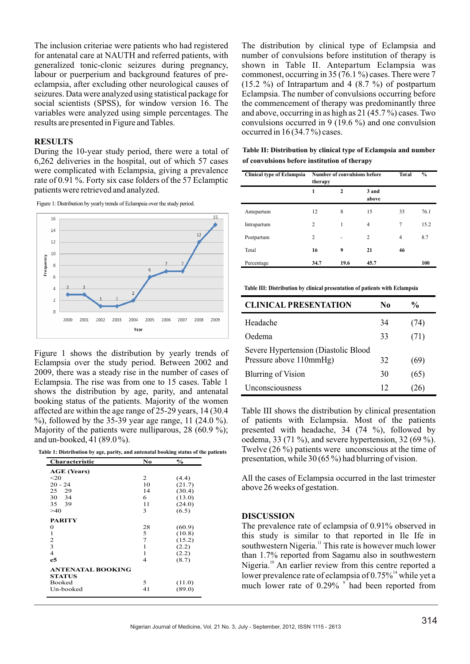The inclusion criteriae were patients who had registered for antenatal care at NAUTH and referred patients, with generalized tonic-clonic seizures during pregnancy, labour or puerperium and background features of preeclampsia, after excluding other neurological causes of seizures. Data were analyzed using statistical package for social scientists (SPSS), for window version 16. The variables were analyzed using simple percentages. The results are presented in Figure and Tables.

#### **RESULTS**

During the 10-year study period, there were a total of 6,262 deliveries in the hospital, out of which 57 cases were complicated with Eclampsia, giving a prevalence rate of 0.91 %. Forty six case folders of the 57 Eclamptic patients were retrieved and analyzed.



Figure 1: Distribution by yearly trends of Eclampsia over the study period.

Figure 1 shows the distribution by yearly trends of Eclampsia over the study period. Between 2002 and 2009, there was a steady rise in the number of cases of Eclampsia. The rise was from one to 15 cases. Table 1 shows the distribution by age, parity, and antenatal booking status of the patients. Majority of the women affected are within the age range of 25-29 years, 14 (30.4 %), followed by the 35-39 year age range, 11 (24.0 %). Majority of the patients were nulliparous, 28 (60.9 %); and un-booked, 41 (89.0 %).

**Table 1: Distribution by age, parity, and antenatal booking status of the patients**

| Characteristic           | No             | $\%$   |
|--------------------------|----------------|--------|
| <b>AGE</b> (Years)       |                |        |
| $<$ 20                   | 2              | (4.4)  |
| $20 - 24$                | 10             | (21.7) |
| 25 29                    | 14             | (30.4) |
| 30 34                    | 6              | (13.0) |
| 35 39                    | 11             | (24.0) |
| >40                      | 3              | (6.5)  |
| <b>PARITY</b>            |                |        |
| 0                        | 28             | (60.9) |
| 1                        | 5              | (10.8) |
| 2                        | 7              | (15.2) |
| 3                        | 1              | (2.2)  |
| $\overline{4}$           | 1              | (2.2)  |
| e5                       | $\overline{4}$ | (8.7)  |
| <b>ANTENATAL BOOKING</b> |                |        |
| <b>STATUS</b>            |                |        |
| Booked                   | 5              | (11.0) |
| Un-booked                | 41             | (89.0) |

The distribution by clinical type of Eclampsia and number of convulsions before institution of therapy is shown in Table II. Antepartum Eclampsia was commonest, occurring in 35 (76.1 %) cases. There were 7  $(15.2 \%)$  of Intrapartum and 4  $(8.7 \%)$  of postpartum Eclampsia. The number of convulsions occurring before the commencement of therapy was predominantly three and above, occurring in as high as 21 (45.7 %) cases. Two convulsions occurred in 9 (19.6 %) and one convulsion occurred in 16 (34.7 %) cases.

| Table II: Distribution by clinical type of Eclampsia and number |  |
|-----------------------------------------------------------------|--|
| of convulsions before institution of therapy                    |  |

| <b>Clinical type of Eclampsia</b> | <b>Number of convulsions before</b><br>therapy |              |                | <b>Total</b>   | $\frac{6}{9}$ |
|-----------------------------------|------------------------------------------------|--------------|----------------|----------------|---------------|
|                                   | 1                                              | $\mathbf{2}$ | 3 and<br>above |                |               |
| Antepartum                        | 12                                             | 8            | 15             | 35             | 76.1          |
| Intrapartum                       | 2                                              | 1            | $\overline{4}$ | 7              | 15.2          |
| Postpartum                        | $\overline{2}$                                 | ٠            | $\overline{2}$ | $\overline{4}$ | 8.7           |
| Total                             | 16                                             | 9            | 21             | 46             |               |
| Percentage                        | 34.7                                           | 19.6         | 45.7           |                | 100           |

**Table III: Distribution by clinical presentation of patients with Eclampsia**

| <b>CLINICAL PRESENTATION</b>                                    | No | $\frac{6}{10}$ |
|-----------------------------------------------------------------|----|----------------|
| Headache                                                        | 34 | (74)           |
| Oedema                                                          | 33 | (71)           |
| Severe Hypertension (Diastolic Blood<br>Pressure above 110mmHg) | 32 | (69)           |
| Blurring of Vision                                              | 30 | (65)           |
| Unconsciousness                                                 | 12 |                |

Table III shows the distribution by clinical presentation of patients with Eclampsia. Most of the patients presented with headache, 34 (74 %), followed by oedema, 33 (71 %), and severe hypertension, 32 (69 %). Twelve (26 %) patients were unconscious at the time of presentation, while 30 (65 %) had blurring of vision.

All the cases of Eclampsia occurred in the last trimester above 26 weeks of gestation.

#### **DISCUSSION**

The prevalence rate of eclampsia of 0.91% observed in this study is similar to that reported in Ile Ife in southwestern Nigeria.<sup>11</sup> This rate is however much lower than 1.7% reported from Sagamu also in southwestern Nigeria.<sup>10</sup> An earlier review from this centre reported a lower prevalence rate of eclampsia of  $0.75\%$ <sup>14</sup> while yet a much lower rate of  $0.29\%$   $\degree$  had been reported from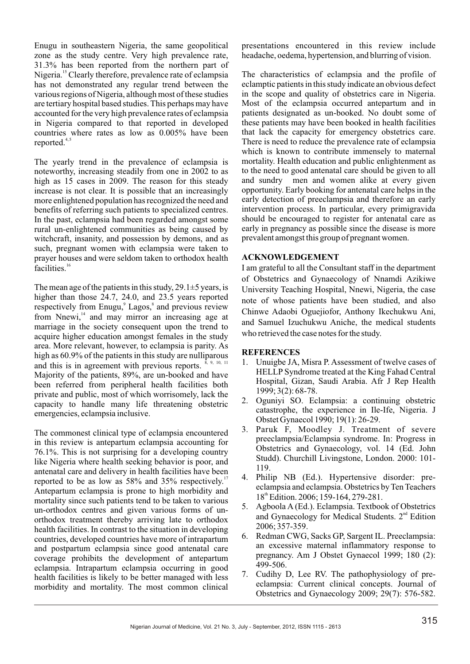Enugu in southeastern Nigeria, the same geopolitical zone as the study centre. Very high prevalence rate, 31.3% has been reported from the northern part of Nigeria.<sup>15</sup> Clearly therefore, prevalence rate of eclampsia has not demonstrated any regular trend between the various regions of Nigeria, although most of these studies are tertiary hospital based studies. This perhaps may have accounted for the very high prevalence rates of eclampsia in Nigeria compared to that reported in developed countries where rates as low as 0.005% have been reported. $4,5$ 

The yearly trend in the prevalence of eclampsia is noteworthy, increasing steadily from one in 2002 to as high as 15 cases in 2009. The reason for this steady increase is not clear. It is possible that an increasingly more enlightened population has recognized the need and benefits of referring such patients to specialized centres. In the past, eclampsia had been regarded amongst some rural un-enlightened communities as being caused by witchcraft, insanity, and possession by demons, and as such, pregnant women with eclampsia were taken to prayer houses and were seldom taken to orthodox health facilities.<sup>16</sup>

The mean age of the patients in this study, 29.1 $\pm$ 5 years, is higher than those 24.7, 24.0, and 23.5 years reported respectively from Enugu,<sup>9</sup> Lagos,<sup>8</sup> and previous review from Nnewi, $14$  and may mirror an increasing age at marriage in the society consequent upon the trend to acquire higher education amongst females in the study area. More relevant, however, to eclampsia is parity. As high as 60.9% of the patients in this study are nulliparous and this is in agreement with previous reports.  $8, 9, 10, 11$ Majority of the patients, 89%, are un-booked and have been referred from peripheral health facilities both private and public, most of which worrisomely, lack the capacity to handle many life threatening obstetric emergencies, eclampsia inclusive.

The commonest clinical type of eclampsia encountered in this review is antepartum eclampsia accounting for 76.1%. This is not surprising for a developing country like Nigeria where health seeking behavior is poor, and antenatal care and delivery in health facilities have been reported to be as low as  $58\%$  and  $35\%$  respectively.<sup>17</sup> Antepartum eclampsia is prone to high morbidity and mortality since such patients tend to be taken to various un-orthodox centres and given various forms of unorthodox treatment thereby arriving late to orthodox health facilities. In contrast to the situation in developing countries, developed countries have more of intrapartum and postpartum eclampsia since good antenatal care coverage prohibits the development of antepartum eclampsia. Intrapartum eclampsia occurring in good health facilities is likely to be better managed with less morbidity and mortality. The most common clinical

presentations encountered in this review include headache, oedema, hypertension, and blurring of vision.

The characteristics of eclampsia and the profile of eclamptic patients in this study indicate an obvious defect in the scope and quality of obstetrics care in Nigeria. Most of the eclampsia occurred antepartum and in patients designated as un-booked. No doubt some of these patients may have been booked in health facilities that lack the capacity for emergency obstetrics care. There is need to reduce the prevalence rate of eclampsia which is known to contribute immensely to maternal mortality. Health education and public enlightenment as to the need to good antenatal care should be given to all and sundry men and women alike at every given opportunity. Early booking for antenatal care helps in the early detection of preeclampsia and therefore an early intervention process. In particular, every primigravida should be encouraged to register for antenatal care as early in pregnancy as possible since the disease is more prevalent amongst this group of pregnant women.

#### **ACKNOWLEDGEMENT**

I am grateful to all the Consultant staff in the department of Obstetrics and Gynaecology of Nnamdi Azikiwe University Teaching Hospital, Nnewi, Nigeria, the case note of whose patients have been studied, and also Chinwe Adaobi Oguejiofor, Anthony Ikechukwu Ani, and Samuel Izuchukwu Aniche, the medical students who retrieved the case notes for the study.

#### **REFERENCES**

- 1. Unuigbe JA, Misra P. Assessment of twelve cases of HELLP Syndrome treated at the King Fahad Central Hospital, Gizan, Saudi Arabia. Afr J Rep Health 1999; 3(2): 68-78.
- 2. Oguniyi SO. Eclampsia: a continuing obstetric catastrophe, the experience in Ile-Ife, Nigeria. J Obstet Gynaecol 1990; 19(1): 26-29.
- 3. Paruk F, Moodley J. Treatment of severe preeclampsia/Eclampsia syndrome. In: Progress in Obstetrics and Gynaecology, vol. 14 (Ed. John Studd). Churchill Livingstone, London. 2000: 101- 119.
- 4. Philip NB (Ed.). Hypertensive disorder: preeclampsia and eclampsia. Obstetrics by Ten Teachers 18<sup>th</sup> Edition. 2006; 159-164, 279-281.
- 5. Agboola A (Ed.). Eclampsia. Textbook of Obstetrics and Gynaecology for Medical Students.  $2<sup>nd</sup>$  Edition 2006; 357-359.
- 6. Redman CWG, Sacks GP, Sargent IL. Preeclampsia: an excessive maternal inflammatory response to pregnancy. Am J Obstet Gynaecol 1999; 180 (2): 499-506.
- 7. Cudihy D, Lee RV. The pathophysiology of preeclampsia: Current clinical concepts. Journal of Obstetrics and Gynaecology 2009; 29(7): 576-582.